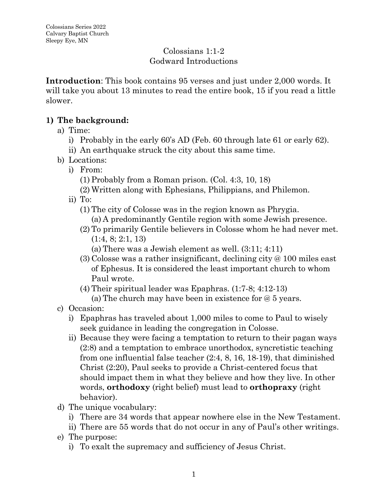#### Colossians 1:1-2 Godward Introductions

**Introduction**: This book contains 95 verses and just under 2,000 words. It will take you about 13 minutes to read the entire book, 15 if you read a little slower.

### **1) The background:**

- a) Time:
	- i) Probably in the early 60's AD (Feb. 60 through late 61 or early 62).
	- ii) An earthquake struck the city about this same time.
- b) Locations:
	- i) From:
		- (1) Probably from a Roman prison. (Col. 4:3, 10, 18)
		- (2) Written along with Ephesians, Philippians, and Philemon.
	- ii) To:
		- (1) The city of Colosse was in the region known as Phrygia. (a) A predominantly Gentile region with some Jewish presence.
		- (2) To primarily Gentile believers in Colosse whom he had never met. (1:4, 8; 2:1, 13)
			- (a) There was a Jewish element as well. (3:11; 4:11)
		- (3) Colosse was a rather insignificant, declining city @ 100 miles east of Ephesus. It is considered the least important church to whom Paul wrote.
		- (4) Their spiritual leader was Epaphras. (1:7-8; 4:12-13)

(a) The church may have been in existence for @ 5 years.

- c) Occasion:
	- i) Epaphras has traveled about 1,000 miles to come to Paul to wisely seek guidance in leading the congregation in Colosse.
	- ii) Because they were facing a temptation to return to their pagan ways (2:8) and a temptation to embrace unorthodox, syncretistic teaching from one influential false teacher (2:4, 8, 16, 18-19), that diminished Christ (2:20), Paul seeks to provide a Christ-centered focus that should impact them in what they believe and how they live. In other words, **orthodoxy** (right belief) must lead to **orthopraxy** (right behavior).
- d) The unique vocabulary:
	- i) There are 34 words that appear nowhere else in the New Testament.
	- ii) There are 55 words that do not occur in any of Paul's other writings.
- e) The purpose:
	- i) To exalt the supremacy and sufficiency of Jesus Christ.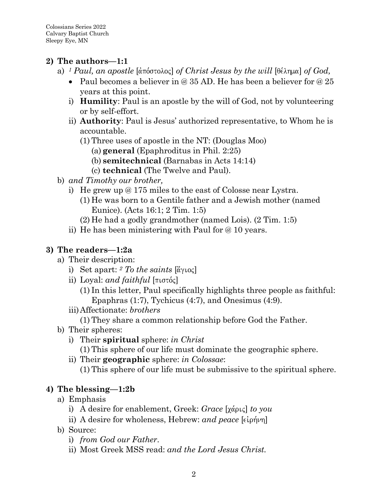## **2) The authors—1:1**

- a) <sup>1</sup> *Paul, an apostle* [ $\alpha$ πόστολος] *of Christ Jesus by the will* [θέλημα] *of God,* 
	- Paul becomes a believer in  $\omega$  35 AD. He has been a believer for  $\omega$  25 years at this point.
	- i) **Humility**: Paul is an apostle by the will of God, not by volunteering or by self-effort.
	- ii) **Authority**: Paul is Jesus' authorized representative, to Whom he is accountable.
		- (1) Three uses of apostle in the NT: (Douglas Moo)
			- (a) **general** (Epaphroditus in Phil. 2:25)
			- (b) **semitechnical** (Barnabas in Acts 14:14)
			- (c) **technical** (The Twelve and Paul).
- b) *and Timothy our brother,*
	- i) He grew up @ 175 miles to the east of Colosse near Lystra.
		- (1) He was born to a Gentile father and a Jewish mother (named Eunice). (Acts 16:1; 2 Tim. 1:5)
		- (2) He had a godly grandmother (named Lois). (2 Tim. 1:5)
	- ii) He has been ministering with Paul for @ 10 years.

# **3) The readers—1:2a**

- a) Their description:
	- i) Set apart:  $2$  *To the saints*  $\left[\overset{\circ}{\alpha}\gamma\overset{\circ}{\alpha}\right]$
	- ii) Loyal: *and faithful*  $[\pi \sigma \sigma \phi]$ 
		- (1) In this letter, Paul specifically highlights three people as faithful: Epaphras (1:7), Tychicus (4:7), and Onesimus (4:9).
	- iii)Affectionate: *brothers*
		- (1) They share a common relationship before God the Father.
- b) Their spheres:
	- i) Their **spiritual** sphere: *in Christ*
		- (1) This sphere of our life must dominate the geographic sphere.
	- ii) Their **geographic** sphere: *in Colossae*:
		- (1) This sphere of our life must be submissive to the spiritual sphere.

# **4) The blessing—1:2b**

- a) Emphasis
	- i) A desire for enablement, Greek: *Grace* [χάρις] *to you*
	- ii) A desire for wholeness, Hebrew: *and peace* [ $\epsilon$ *i*<sub>p</sub> $\gamma$ ]
- b) Source:
	- i) *from God our Father*.
	- ii) Most Greek MSS read: *and the Lord Jesus Christ.*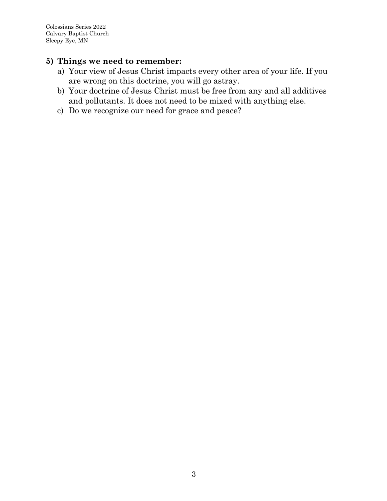Colossians Series 2022 Calvary Baptist Church Sleepy Eye, MN

- a) Your view of Jesus Christ impacts every other area of your life. If you are wrong on this doctrine, you will go astray.
- b) Your doctrine of Jesus Christ must be free from any and all additives and pollutants. It does not need to be mixed with anything else.
- c) Do we recognize our need for grace and peace?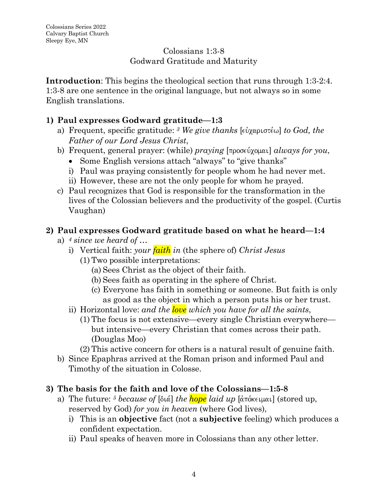### Colossians 1:3-8 Godward Gratitude and Maturity

**Introduction**: This begins the theological section that runs through 1:3-2:4. 1:3-8 are one sentence in the original language, but not always so in some English translations.

## **1) Paul expresses Godward gratitude—1:3**

- a) Frequent, specific gratitude:  $3$  *We give thanks* [ $\epsilon \omega$ <sub>10</sub> $\epsilon \omega$ ] *to God, the Father of our Lord Jesus Christ*,
- b) Frequent, general prayer: (while) *praying* [προσεύχομαι] *always for you*,
	- Some English versions attach "always" to "give thanks"
	- i) Paul was praying consistently for people whom he had never met.
	- ii) However, these are not the only people for whom he prayed.
- c) Paul recognizes that God is responsible for the transformation in the lives of the Colossian believers and the productivity of the gospel. (Curtis Vaughan)

## **2) Paul expresses Godward gratitude based on what he heard—1:4**

- a) *<sup>4</sup> since we heard of …* 
	- i) Vertical faith: *your faith in* (the sphere of) *Christ Jesus*
		- (1) Two possible interpretations:
			- (a) Sees Christ as the object of their faith.
			- (b) Sees faith as operating in the sphere of Christ.
			- (c) Everyone has faith in something or someone. But faith is only as good as the object in which a person puts his or her trust.
	- ii) Horizontal love: *and the love which you have for all the saints*,
		- (1) The focus is not extensive—every single Christian everywhere but intensive—every Christian that comes across their path. (Douglas Moo)
		- (2) This active concern for others is a natural result of genuine faith.
- b) Since Epaphras arrived at the Roman prison and informed Paul and Timothy of the situation in Colosse.

# **3) The basis for the faith and love of the Colossians—1:5-8**

- a) The future: <sup>5</sup> *because of* [διά] *the hope laid up* [άπόκειμαι] (stored up, reserved by God) *for you in heaven* (where God lives),
	- i) This is an **objective** fact (not a **subjective** feeling) which produces a confident expectation.
	- ii) Paul speaks of heaven more in Colossians than any other letter.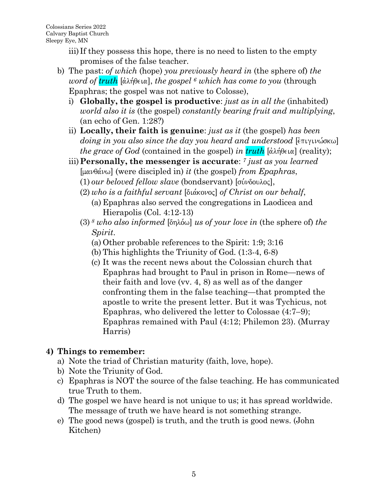- iii) If they possess this hope, there is no need to listen to the empty promises of the false teacher.
- b) The past: *of which* (hope) *you previously heard in* (the sphere of) *the word of truth* [άλήθεια], *the gospel* <sup>6</sup> *which has come to you* (through Epaphras; the gospel was not native to Colosse),
	- i) **Globally, the gospel is productive**: *just as in all the* (inhabited) *world also it is* (the gospel) *constantly bearing fruit and multiplying*, (an echo of Gen. 1:28?)
	- ii) **Locally, their faith is genuine**: *just as it* (the gospel) *has been doing in you also since the day you heard and understood* [ $\epsilon$ πιγινώσκω] *the grace of God* (contained in the gospel) *in truth*  $\alpha$ <sup>3</sup> [αλήθεια] (reality);
	- iii)**Personally, the messenger is accurate**: *<sup>7</sup> just as you learned*  [manqa,nw] (were discipled in) *it* (the gospel) *from Epaphras*,
		- $(1)$  *our beloved fellow slave* (bondservant) [σύνδουλος],
		- (2) who is a faithful servant [διάκονος] of Christ on our behalf, (a) Epaphras also served the congregations in Laodicea and
			- Hierapolis (Col. 4:12-13)
		- $(3)$ <sup>8</sup> *who also informed* [ $\delta n\lambda\delta\omega$ ] *us of your love in (the sphere of) the Spirit*.
			- (a) Other probable references to the Spirit: 1:9; 3:16
			- (b) This highlights the Triunity of God. (1:3-4, 6-8)
			- (c) It was the recent news about the Colossian church that Epaphras had brought to Paul in prison in Rome—news of their faith and love (vv. 4, 8) as well as of the danger confronting them in the false teaching—that prompted the apostle to write the present letter. But it was Tychicus, not Epaphras, who delivered the letter to Colossae (4:7–9); Epaphras remained with Paul (4:12; Philemon 23). (Murray Harris)

# **4) Things to remember:**

- a) Note the triad of Christian maturity (faith, love, hope).
- b) Note the Triunity of God.
- c) Epaphras is NOT the source of the false teaching. He has communicated true Truth to them.
- d) The gospel we have heard is not unique to us; it has spread worldwide. The message of truth we have heard is not something strange.
- e) The good news (gospel) is truth, and the truth is good news. (John Kitchen)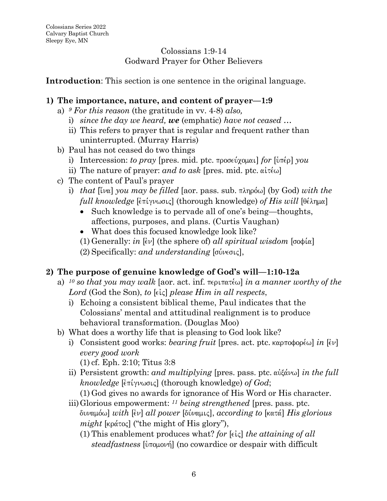## Colossians 1:9-14 Godward Prayer for Other Believers

**Introduction**: This section is one sentence in the original language.

## **1) The importance, nature, and content of prayer—1:9**

- a) *<sup>9</sup> For this reason* (the gratitude in vv. 4-8) *also,*
	- i) *since the day we heard, we* (emphatic) *have not ceased …*
	- ii) This refers to prayer that is regular and frequent rather than uninterrupted. (Murray Harris)
- b) Paul has not ceased do two things
	- i) Intercession: *to pray* [pres. mid. ptc.  $\pi \text{pos}(y)$  *pould for*  $[\hat{v} \pi \hat{\epsilon} \rho]$  *you*
	- ii) The nature of prayer: *and to ask* [pres. mid. ptc.  $\alpha$ i $\tau \in \mathbb{R}$ ]
- c) The content of Paul's prayer
	- i) *that*  $\lbrack \lbrack \lbrack \nu \lbrack \lbrack \nu \lbrack \nu \lbrack \nu \lbrack \nu \lbrack \nu \lbrack \nu \lbrack \nu \lbrack \nu \lbrack \nu \lbrack \nu \lbrack \nu \lbrack \nu \lbrack \nu \lbrack \nu \lbrack \nu \lbrack \nu \lbrack \nu \lbrack \nu \lbrack \nu \lbrack \nu \lbrack \nu \lbrack \nu \lbrack \nu \lbrack \nu \lbrack \nu \lbrack \nu \lbrack \nu \lbrack \nu \lbrack \nu \lbrack \nu \lbrack \nu \lbrack \nu$ *full knowledge* [ $\epsilon$ πίγνωσις] (thorough knowledge) *of His will* [θέλημα]
		- Such knowledge is to pervade all of one's being—thoughts, affections, purposes, and plans. (Curtis Vaughan)
		- What does this focused knowledge look like?
		- (1) Generally: *in*  $\lbrack \xi v \rbrack$  (the sphere of) all spiritual wisdom  $\lbrack \sigma \phi \psi \rbrack$
		- $(2)$  Specifically: *and understanding* [σύνεσις],

# **2) The purpose of genuine knowledge of God's will—1:10-12a**

- a) <sup>10</sup> so that you may walk [aor. act. inf.  $\pi \epsilon \rho \pi \alpha \tau \epsilon \omega$ ] *in a manner worthy of the* Lord (God the Son), *to* [eic] *please Him in all respects*,
	- i) Echoing a consistent biblical theme, Paul indicates that the Colossians' mental and attitudinal realignment is to produce behavioral transformation. (Douglas Moo)
- b) What does a worthy life that is pleasing to God look like?
	- i) Consistent good works: *bearing fruit* [pres. act. ptc. καρποφορέω] *in* [εν] *every good work*
		- (1) cf. Eph. 2:10; Titus 3:8
	- ii) Persistent growth: *and multiplying* [pres. pass. ptc. αὐξάνω] *in the full*  $k$ *nowledge* [ $\epsilon$ πίγνωσις] (thorough knowledge) *of God*;

(1) God gives no awards for ignorance of His Word or His character.

- iii)Glorious empowerment: *<sup>11</sup> being strengthened* [pres. pass. ptc.  $\delta$ *νναμόω*] *with* [εν] *all power* [δύναμις], *according to* [κατά] *His glorious*  $might$  [ $k\alpha\tau\alpha\zeta$ ] ("the might of His glory"),
	- (1) This enablement produces what? *for*  $[\epsilon \zeta]$  *the attaining of all steadfastness* [υπομονή] (no cowardice or despair with difficult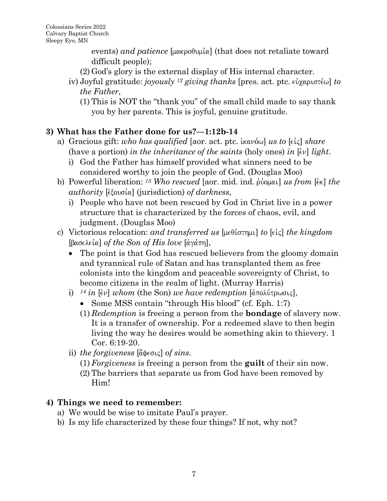$\alpha$  *events) and patience* [ $\mu\alpha\beta$  $\alpha$ ] (that does not retaliate toward difficult people);

- (2) God's glory is the external display of His internal character.
- iv) Joyful gratitude: *joyously* <sup>12</sup> giving thanks [pres. act. ptc. εὐχαριστέω] to *the Father*,
	- (1) This is NOT the "thank you" of the small child made to say thank you by her parents. This is joyful, genuine gratitude.

# **3) What has the Father done for us?—1:12b-14**

- a) Gracious gift: *who has qualified* [aor. act. ptc. *ikavo*, *us to* [ $\epsilon$ *i*ς] *share* (have a portion) *in the inheritance of the saints* (holy ones) *in*  $\left[\epsilon v\right]$  *light.* 
	- i) God the Father has himself provided what sinners need to be considered worthy to join the people of God. (Douglas Moo)
- b) Powerful liberation: <sup>13</sup> Who rescued [aor. mid. ind. proposition *[in] the authority* [*εξουσία*] (jurisdiction) *of darkness*,
	- i) People who have not been rescued by God in Christ live in a power structure that is characterized by the forces of chaos, evil, and judgment. (Douglas Moo)
- c) Victorious relocation: *and transferred us* [μεθίστημι] *to* [είς] *the kingdom*  $[\beta \alpha \sigma \in \{\alpha\} \text{ of } the \text{ } Son \text{ } of \text{ } His \text{ } love \text{ } [\alpha \gamma \alpha \pi \eta],$ 
	- The point is that God has rescued believers from the gloomy domain and tyrannical rule of Satan and has transplanted them as free colonists into the kingdom and peaceable sovereignty of Christ, to become citizens in the realm of light. (Murray Harris)
	- i)  $^{14}$  *in* [ $\acute{\epsilon}$ ν] *whom* (the Son) *we have redemption* [ $\acute{\alpha}$ πολύτρωσις],
		- Some MSS contain "through His blood" (cf. Eph. 1:7)
		- (1) *Redemption* is freeing a person from the **bondage** of slavery now. It is a transfer of ownership. For a redeemed slave to then begin living the way he desires would be something akin to thievery. 1 Cor. 6:19-20.
	- ii) *the forgiveness* [ἄφεσις] *of sins*.
		- (1)*Forgiveness* is freeing a person from the **guilt** of their sin now.
		- (2) The barriers that separate us from God have been removed by Him!

- a) We would be wise to imitate Paul's prayer.
- b) Is my life characterized by these four things? If not, why not?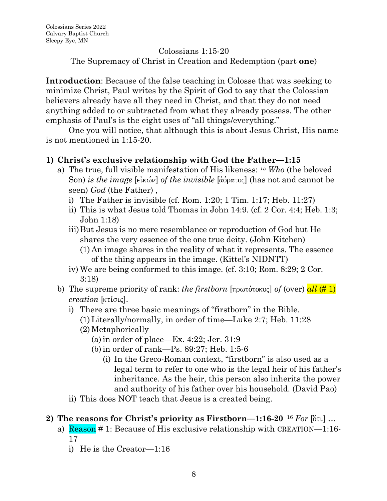#### Colossians 1:15-20

The Supremacy of Christ in Creation and Redemption (part **one**)

**Introduction**: Because of the false teaching in Colosse that was seeking to minimize Christ, Paul writes by the Spirit of God to say that the Colossian believers already have all they need in Christ, and that they do not need anything added to or subtracted from what they already possess. The other emphasis of Paul's is the eight uses of "all things/everything."

One you will notice, that although this is about Jesus Christ, His name is not mentioned in 1:15-20.

### **1) Christ's exclusive relationship with God the Father—1:15**

- a) The true, full visible manifestation of His likeness: *<sup>15</sup> Who* (the beloved Son) *is the image* [εἰκών] *of the invisible* [ἀόρατος] (has not and cannot be seen) *God* (the Father) ,
	- i) The Father is invisible (cf. Rom.  $1:20$ ; 1 Tim.  $1:17$ ; Heb.  $11:27$ )
	- ii) This is what Jesus told Thomas in John 14:9. (cf. 2 Cor. 4:4; Heb. 1:3; John 1:18)
	- iii)But Jesus is no mere resemblance or reproduction of God but He shares the very essence of the one true deity. (John Kitchen) (1) An image shares in the reality of what it represents. The essence of the thing appears in the image. (Kittel's NIDNTT)
	- iv) We are being conformed to this image. (cf. 3:10; Rom. 8:29; 2 Cor. 3:18)
- b) The supreme priority of rank: *the firstborn*  $\lceil \text{maxoflockoc} \rceil$  *of (over)*  $\frac{all \ (\# 1)}{]}$ *creation* [κτίσις].
	- i) There are three basic meanings of "firstborn" in the Bible. (1)Literally/normally, in order of time—Luke 2:7; Heb. 11:28
		- (2) Metaphorically
			- (a)in order of place—Ex. 4:22; Jer. 31:9
			- (b)in order of rank—Ps. 89:27; Heb. 1:5-6
				- (i) In the Greco-Roman context, "firstborn" is also used as a legal term to refer to one who is the legal heir of his father's inheritance. As the heir, this person also inherits the power and authority of his father over his household. (David Pao)
	- ii) This does NOT teach that Jesus is a created being.

#### **2)** The reasons for Christ's priority as Firstborn—1:16-20<sup>16</sup> *For* [ $\delta$ τι] …

- a) Reason # 1: Because of His exclusive relationship with CREATION—1:16- 17
	- i) He is the Creator—1:16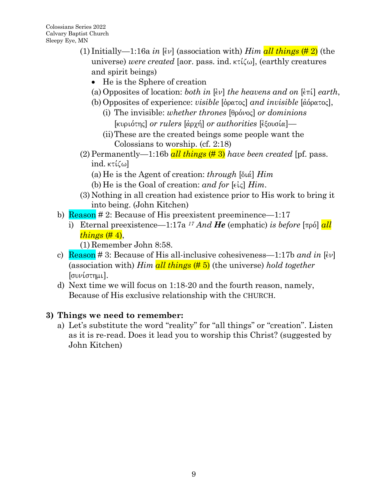- (1) Initially—1:16a *in* [ $\epsilon \nu$ ] (association with) *Him all things* (#2) (the universe) *were created* [aor. pass. ind.  $\kappa \tilde{\iota}(\omega)$ , (earthly creatures and spirit beings)
	- He is the Sphere of creation
	- (a) Opposites of location: *both in*  $\left[\epsilon v\right]$  *the heavens and on*  $\left[\epsilon \pi i\right]$  *earth*,
	- (b) Opposites of experience: *visible* [όρατος] *and invisible* [άόρατος],
		- (i) The invisible: *whether thrones* [θρόνος] *or dominions* [κυριότης] *or rulers* [άρχή] *or authorities* [εξουσία]—
		- (ii)These are the created beings some people want the Colossians to worship. (cf. 2:18)
- (2) Permanently—1:16b  $all \, things \, (\# 3)$  *have been created* [pf. pass. ind.  $\kappa\tau\kappa\omega$ ]
	- (a) He is the Agent of creation: *through*  $[\delta \alpha]$  *Him*
	- (b) He is the Goal of creation: *and for*  $[\epsilon \in \epsilon]$  *Him*.
- (3) Nothing in all creation had existence prior to His work to bring it into being. (John Kitchen)
- b)  $\text{Reason} \# 2$ : Because of His preexistent preeminence—1:17
	- i) Eternal preexistence—1:17a <sup>17</sup> *And He* (emphatic) *is before*  $\pi$ <sup>[17]</sup> *all things* (# 4),

(1) Remember John 8:58.

- c) **Reason** # 3: Because of His all-inclusive cohesiveness—1:17b and in  $[\epsilon \nu]$ (association with) *Him all things* (# 5) (the universe) *hold together*  $[*σ*<sub>ν</sub>$ ί*ι.*
- d) Next time we will focus on 1:18-20 and the fourth reason, namely, Because of His exclusive relationship with the CHURCH.

# **3) Things we need to remember:**

a) Let's substitute the word "reality" for "all things" or "creation". Listen as it is re-read. Does it lead you to worship this Christ? (suggested by John Kitchen)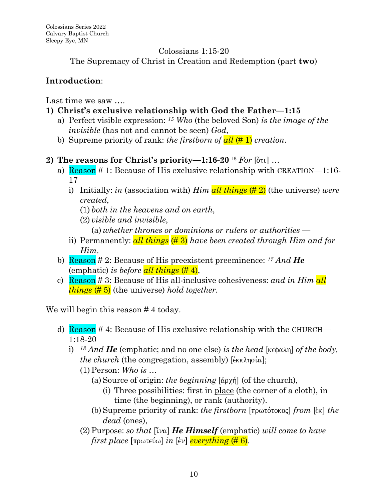#### Colossians 1:15-20

The Supremacy of Christ in Creation and Redemption (part **two**)

# **Introduction**:

Last time we saw ….

- **1) Christ's exclusive relationship with God the Father—1:15**
	- a) Perfect visible expression: *<sup>15</sup> Who* (the beloved Son) *is the image of the invisible* (has not and cannot be seen) *God*,
	- b) Supreme priority of rank: *the firstborn of all* (# 1) *creation*.
- **2)** The reasons for Christ's priority—1:16-20<sup>16</sup> For  $\left[\begin{subarray}{c} 6 \end{subarray}\right]$  ...
	- a) Reason # 1: Because of His exclusive relationship with CREATION—1:16- 17
		- i) Initially: *in* (association with) *Him all things* (# 2) (the universe) *were created*,
			- (1) *both in the heavens and on earth*,
			- (2) *visible and invisible*,
				- (a) *whether thrones or dominions or rulers or authorities* —
		- ii) Permanently: *all things* (# 3) *have been created through Him and for Him*.
	- b) Reason # 2: Because of His preexistent preeminence: *<sup>17</sup> And He* (emphatic) *is before all things* (# 4),
	- c) Reason # 3: Because of His all-inclusive cohesiveness: *and in Him all things* (# 5) (the universe) *hold together*.

We will begin this reason #4 today.

- d) Reason #4: Because of His exclusive relationship with the CHURCH— 1:18-20
	- i) *<sup>18</sup> And He* (emphatic; and no one else) *is the head* [kefalh] *of the body, the church* (the congregation, assembly)  $[\hat{\epsilon}_{KK}\lambda_{\eta\sigma}(\alpha)]$ ;
		- (1)Person: *Who is* …
			- (a) Source of origin: *the beginning*  $\alpha$   $\beta$  (of the church),
				- (i) Three possibilities: first in place (the corner of a cloth), in time (the beginning), or rank (authority).
			- (b) Supreme priority of rank: *the firstborn* [πρωτότοκος] *from* [ $\epsilon$ κ] *the dead* (ones),
		- $(2)$  Purpose: *so that* [[[ $\alpha$ ] *He Himself* (emphatic) *will come to have first place* [πρωτεύω] *in* [εν] *everything* (#6).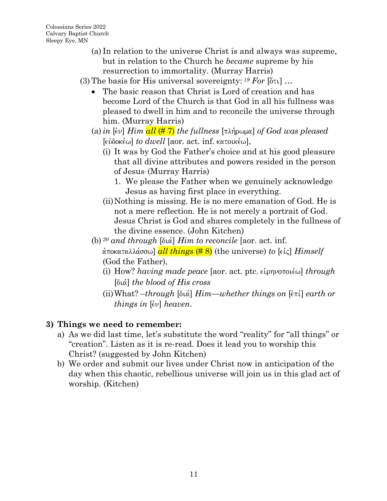- (a) In relation to the universe Christ is and always was supreme, but in relation to the Church he *became* supreme by his resurrection to immortality. (Murray Harris)
- (3) The basis for His universal sovereignty:  $^{19}$  *For*  $[6\tau\iota]$  ...
	- The basic reason that Christ is Lord of creation and has become Lord of the Church is that God in all his fullness was pleased to dwell in him and to reconcile the universe through him. (Murray Harris)
	- (a) *in* [ $\epsilon v$ ] *Him all* ( $\#$  7) *the fullness* [ $\pi \lambda \eta \omega \mu \alpha$ ] *of God was pleased*  $[\epsilon \omega$ δοκέω] *to dwell* [aor. act. inf. κατοικέω],
		- (i) It was by God the Father's choice and at his good pleasure that all divine attributes and powers resided in the person of Jesus. (Murray Harris)
			- 1. We please the Father when we genuinely acknowledge Jesus as having first place in everything.
		- (ii)Nothing is missing. He is no mere emanation of God. He is not a mere reflection. He is not merely a portrait of God. Jesus Christ is God and shares completely in the fullness of the divine essence. (John Kitchen)
	- (b)  $^{20}$  and through [ $\delta \alpha$ ] *Him to reconcile* [aor. act. inf. <u>άποκαταλλάσσω</u>] *all things* (#8) (the universe) *to* [εἰς] *Himself* (God the Father),
		- (i) How? *having made peace* [aor. act. ptc. είρηνοποιέω] *through* [dia,] *the blood of His cross*
		- $(iii) What? through [διά]  *Him*—whether things on  $[ε\pi i]$  *earth or*$ *things in [* $\epsilon \nu$ *] heaven.*

- a) As we did last time, let's substitute the word "reality" for "all things" or "creation". Listen as it is re-read. Does it lead you to worship this Christ? (suggested by John Kitchen)
- b) We order and submit our lives under Christ now in anticipation of the day when this chaotic, rebellious universe will join us in this glad act of worship. (Kitchen)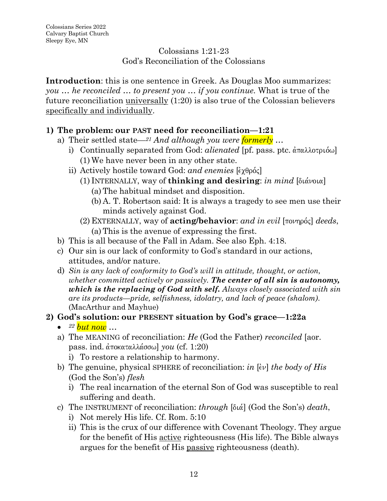### Colossians 1:21-23 God's Reconciliation of the Colossians

**Introduction**: this is one sentence in Greek. As Douglas Moo summarizes: *you … he reconciled … to present you … if you continue.* What is true of the future reconciliation universally (1:20) is also true of the Colossian believers specifically and individually.

# **1) The problem: our PAST need for reconciliation—1:21**

- a) Their settled state—*<sup>21</sup> And although you were formerly* …
	- i) Continually separated from God: *alienated* [pf. pass. ptc.  $\alpha \pi \alpha \lambda \alpha \sigma \mu \omega$ ] (1) We have never been in any other state.
	- ii) Actively hostile toward God: *and enemies* [ $\epsilon \gamma \theta \rho \phi \varsigma$ ]
		- (1) INTERNALLY, way of **thinking and desiring**: *in mind* [διάνοια] (a)The habitual mindset and disposition.
			- (b) A. T. Robertson said: It is always a tragedy to see men use their minds actively against God.
		- $(2)$  EXTERNALLY, way of **acting/behavior**: *and in evil* [ $\pi$ ονηρός] *deeds*, (a)This is the avenue of expressing the first.
- b) This is all because of the Fall in Adam. See also Eph. 4:18.
- c) Our sin is our lack of conformity to God's standard in our actions, attitudes, and/or nature.
- d) *Sin is any lack of conformity to God's will in attitude, thought, or action, whether committed actively or passively. The center of all sin is autonomy, which is the replacing of God with self. Always closely associated with sin are its products—pride, selfishness, idolatry, and lack of peace (shalom)*. (MacArthur and Mayhue)

## **2) God's solution: our PRESENT situation by God's grace—1:22a**

- *<sup>22</sup> but now …*
- a) The MEANING of reconciliation: *He* (God the Father) *reconciled* [aor. **pass.** ind.  $\alpha$ ποκαταλλάσσω] *you* (cf. 1:20)
	- i) To restore a relationship to harmony.
- b) The genuine, physical SPHERE of reconciliation: *in* [ $\epsilon v$ ] *the body of His* (God the Son's) *flesh*
	- i) The real incarnation of the eternal Son of God was susceptible to real suffering and death.
- c) The INSTRUMENT of reconciliation: *through* [dia,] (God the Son's) *death*,
	- i) Not merely His life. Cf. Rom. 5:10
	- ii) This is the crux of our difference with Covenant Theology. They argue for the benefit of His active righteousness (His life). The Bible always argues for the benefit of His passive righteousness (death).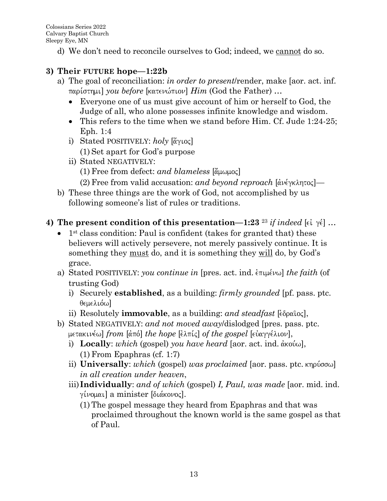d) We don't need to reconcile ourselves to God; indeed, we cannot do so.

## **3) Their FUTURE hope—1:22b**

- a) The goal of reconciliation: *in order to present*/render, make [aor. act. inf. pari,sthmi] *you before* [katenw,pion] *Him* (God the Father) *…* 
	- Everyone one of us must give account of him or herself to God, the Judge of all, who alone possesses infinite knowledge and wisdom.
	- This refers to the time when we stand before Him. Cf. Jude 1:24-25; Eph. 1:4
	- i) Stated POSITIVELY: *holy* [*άγιος*]
		- (1) Set apart for God's purpose
	- ii) Stated NEGATIVELY:
		- $(1)$  Free from defect: *and blameless* [ $\alpha$ <sup>[ $\alpha$ </sup>]
		- (2) Free from valid accusation: *and beyond reproach*  $\alpha$   $\alpha$   $\beta$ —
- b) These three things are the work of God, not accomplished by us following someone's list of rules or traditions.

## **4)** The present condition of this presentation—1:23<sup>23</sup> *if indeed* [ $\epsilon \in \gamma \epsilon$ ] …

- $\bullet$  1<sup>st</sup> class condition: Paul is confident (takes for granted that) these believers will actively persevere, not merely passively continue. It is something they <u>must</u> do, and it is something they will do, by God's grace.
- a) Stated POSITIVELY: *you continue in* [pres. act. ind.  $\epsilon \pi \psi \omega$ ] *the faith* (of trusting God)
	- i) Securely **established**, as a building: *firmly grounded* [pf. pass. ptc. θεμελιόω]
	- ii) Resolutely **immovable**, as a building: and steadfast [εδραΐος],
- b) Stated NEGATIVELY: *and not moved away*/dislodged [pres. pass. ptc.  $\mu$ ετακινέω] *from* [άπό] *the hope* [έλπίς] *of the gospel* [εὐαγγέλιον],
	- i) **Locally**: *which* (gospel) *you have heard* [aor. act. ind. άκούω], (1)From Epaphras (cf. 1:7)
	- ii) **Universally**: *which* (gospel) *was proclaimed* [aor. pass. ptc. κηρύσσω] *in all creation under heaven*,
	- iii)**Individually**: *and of which* (gospel) *I, Paul, was made* [aor. mid. ind. γίνομαι] a minister [διάκονος].
		- (1)The gospel message they heard from Epaphras and that was proclaimed throughout the known world is the same gospel as that of Paul.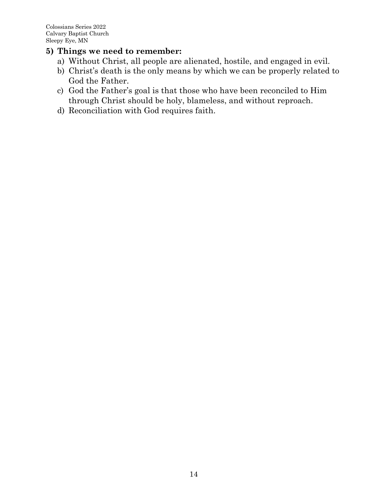- a) Without Christ, all people are alienated, hostile, and engaged in evil.
- b) Christ's death is the only means by which we can be properly related to God the Father.
- c) God the Father's goal is that those who have been reconciled to Him through Christ should be holy, blameless, and without reproach.
- d) Reconciliation with God requires faith.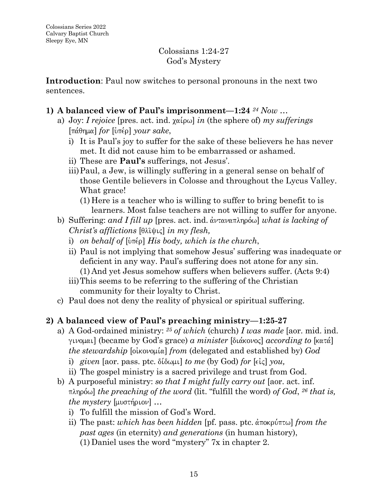### Colossians 1:24-27 God's Mystery

**Introduction**: Paul now switches to personal pronouns in the next two sentences.

### **1) A balanced view of Paul's imprisonment—1:24** *<sup>24</sup> Now* …

- a) Joy: *I rejoice* [pres. act. ind.  $\chi\alpha(\rho\omega)$  *in* (the sphere of) *my sufferings* [pa,qhma] *for* [u`pe,r] *your sake*,
	- i) It is Paul's joy to suffer for the sake of these believers he has never met. It did not cause him to be embarrassed or ashamed.
	- ii) These are **Paul's** sufferings, not Jesus'.
	- iii)Paul, a Jew, is willingly suffering in a general sense on behalf of those Gentile believers in Colosse and throughout the Lycus Valley. What grace!
		- (1) Here is a teacher who is willing to suffer to bring benefit to is learners. Most false teachers are not willing to suffer for anyone.
- b) Suffering: *and I fill up* [pres. act. ind. άνταναπληρόω] *what is lacking of Christ's afflictions* [θλῖψις] *in my flesh,* 
	- i) *on behalf of*  $[\hat{u} \pi \hat{\epsilon} \rho]$  *His body, which is the church,*
	- ii) Paul is not implying that somehow Jesus' suffering was inadequate or deficient in any way. Paul's suffering does not atone for any sin. (1) And yet Jesus somehow suffers when believers suffer. (Acts 9:4)
	- iii)This seems to be referring to the suffering of the Christian community for their loyalty to Christ.
- c) Paul does not deny the reality of physical or spiritual suffering.

## **2) A balanced view of Paul's preaching ministry—1:25-27**

- a) A God-ordained ministry: *<sup>25</sup> of which* (church) *I was made* [aor. mid. ind. ginomai] (became by God's grace) *a minister* [dia,konoj] *according to* [kata,] *the stewardship* [οἰκονομία] *from* (delegated and established by) *God* 
	- i) *given* [aor. pass. ptc.  $\delta$  ( $\delta \omega \mu$ )] *to me* (by God) *for* [ $\epsilon \iota \zeta$ ] *you*,
	- ii) The gospel ministry is a sacred privilege and trust from God.
- b) A purposeful ministry: *so that I might fully carry out* [aor. act. inf.  $\pi\lambda\eta\phi\omega$  *the preaching of the word* (lit. "fulfill the word) *of God*, <sup>26</sup> *that is, the mystery*  $[\mu\nu\sigma\tau\eta\rho\iota\sigma\nu]$  ...
	- i) To fulfill the mission of God's Word.
	- ii) The past: *which has been hidden* [pf. pass. ptc.  $\alpha \in \mathbb{R}$  *from the past ages* (in eternity) *and generations* (in human history), (1) Daniel uses the word "mystery" 7x in chapter 2.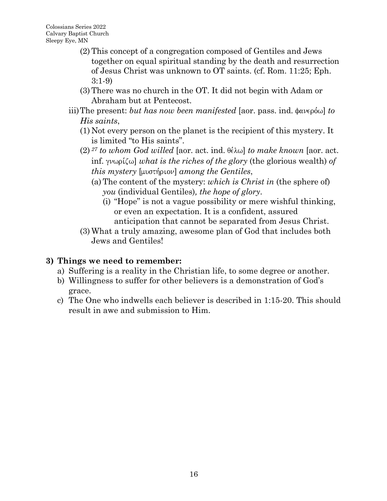- (2)This concept of a congregation composed of Gentiles and Jews together on equal spiritual standing by the death and resurrection of Jesus Christ was unknown to OT saints. (cf. Rom. 11:25; Eph. 3:1-9)
- (3)There was no church in the OT. It did not begin with Adam or Abraham but at Pentecost.
- iii) The present: *but has now been manifested* [aor. pass. ind. φανερόω] *to His saints*,
	- (1) Not every person on the planet is the recipient of this mystery. It is limited "to His saints".
	- $(2)$  <sup>27</sup> *to whom God willed* [aor. act. ind.  $\theta \in \mathcal{L}$ ] *to make known* [aor. act. inf.  $\gamma\nu\omega\rho(\zeta\omega)$  *what is the riches of the glory* (the glorious wealth) *of this mystery* [μυστήριον] *among the Gentiles*,
		- (a)The content of the mystery: *which is Christ in* (the sphere of) *you* (individual Gentiles)*, the hope of glory*.
			- (i) "Hope" is not a vague possibility or mere wishful thinking, or even an expectation. It is a confident, assured anticipation that cannot be separated from Jesus Christ.
	- (3) What a truly amazing, awesome plan of God that includes both Jews and Gentiles!

- a) Suffering is a reality in the Christian life, to some degree or another.
- b) Willingness to suffer for other believers is a demonstration of God's grace.
- c) The One who indwells each believer is described in 1:15-20. This should result in awe and submission to Him.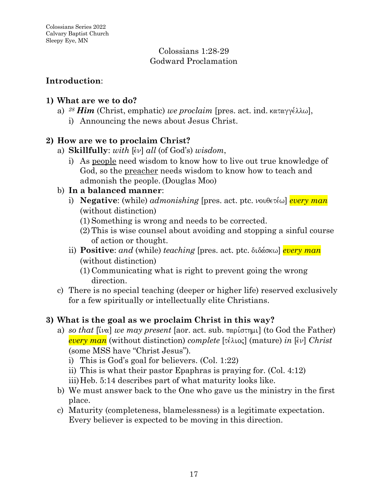#### Colossians 1:28-29 Godward Proclamation

## **Introduction**:

## **1) What are we to do?**

- a)  $^{28}$  *Him* (Christ, emphatic) *we proclaim* [pres. act. ind. καταγγέλλω],
	- i) Announcing the news about Jesus Christ.

# **2) How are we to proclaim Christ?**

- a) **Skillfully**: *with*  $\left[\epsilon \nu\right]$  *all* (of God's) *wisdom*,
	- i) As people need wisdom to know how to live out true knowledge of God, so the preacher needs wisdom to know how to teach and admonish the people. (Douglas Moo)

## b) **In a balanced manner**:

- i) **Negative**: (while) *admonishing* [pres. act. ptc.  $\nu$ ovθετέω] *every man* (without distinction)
	- (1) Something is wrong and needs to be corrected.
	- (2)This is wise counsel about avoiding and stopping a sinful course of action or thought.
- ii) **Positive**: *and* (while) *teaching* [pres. act. ptc. διδάσκω] *every man* (without distinction)
	- (1) Communicating what is right to prevent going the wrong direction.
- c) There is no special teaching (deeper or higher life) reserved exclusively for a few spiritually or intellectually elite Christians.

# **3) What is the goal as we proclaim Christ in this way?**

- a) *so that*  $\lbrack \tilde{v} \rbrack$  *we may present* [aor. act. sub.  $\lbrack \tilde{v} \rbrack$   $\lbrack$  (to God the Father) *every man* (without distinction) *complete* [τέλιος] (mature) *in* [εν] *Christ* (some MSS have "Christ Jesus")*.*
	- i) This is God's goal for believers. (Col. 1:22)
	- ii) This is what their pastor Epaphras is praying for. (Col. 4:12)
	- iii)Heb. 5:14 describes part of what maturity looks like.
- b) We must answer back to the One who gave us the ministry in the first place.
- c) Maturity (completeness, blamelessness) is a legitimate expectation. Every believer is expected to be moving in this direction.